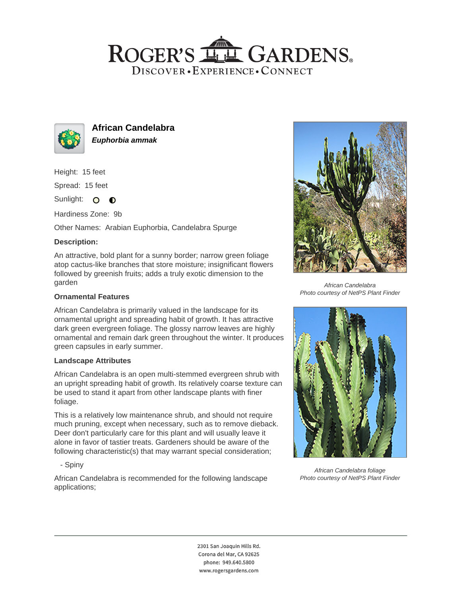# ROGER'S LL GARDENS. DISCOVER · EXPERIENCE · CONNECT



**African Candelabra Euphorbia ammak**

Height: 15 feet

Spread: 15 feet

Sunlight: O **O** 

Hardiness Zone: 9b

Other Names: Arabian Euphorbia, Candelabra Spurge

## **Description:**

An attractive, bold plant for a sunny border; narrow green foliage atop cactus-like branches that store moisture; insignificant flowers followed by greenish fruits; adds a truly exotic dimension to the garden

#### **Ornamental Features**

African Candelabra is primarily valued in the landscape for its ornamental upright and spreading habit of growth. It has attractive dark green evergreen foliage. The glossy narrow leaves are highly ornamental and remain dark green throughout the winter. It produces green capsules in early summer.

### **Landscape Attributes**

African Candelabra is an open multi-stemmed evergreen shrub with an upright spreading habit of growth. Its relatively coarse texture can be used to stand it apart from other landscape plants with finer foliage.

This is a relatively low maintenance shrub, and should not require much pruning, except when necessary, such as to remove dieback. Deer don't particularly care for this plant and will usually leave it alone in favor of tastier treats. Gardeners should be aware of the following characteristic(s) that may warrant special consideration;

- Spiny

African Candelabra is recommended for the following landscape applications;



African Candelabra Photo courtesy of NetPS Plant Finder



African Candelabra foliage Photo courtesy of NetPS Plant Finder

2301 San Joaquin Hills Rd. Corona del Mar, CA 92625 phone: 949.640.5800 www.rogersgardens.com